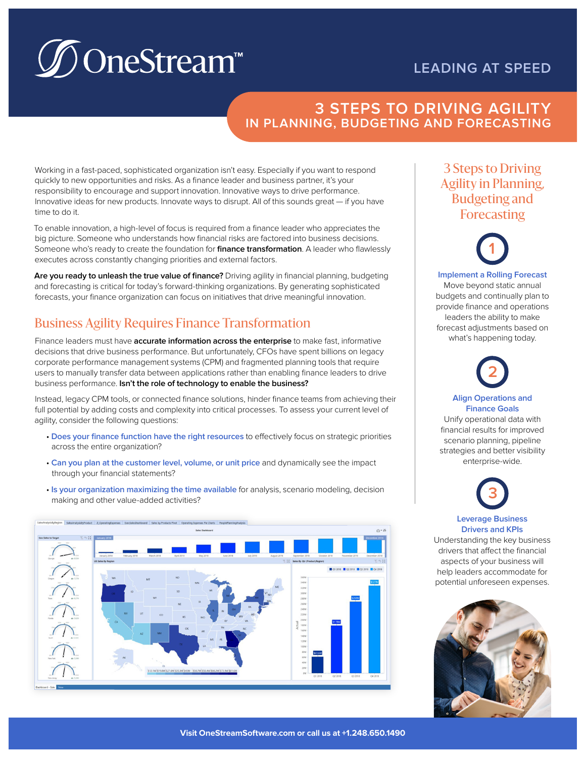## **LEADING AT SPEED**

# **D**OneStream™

#### **3 STEPS TO DRIVING AGILITY IN PLANNING, BUDGETING AND FORECASTING**

Working in a fast-paced, sophisticated organization isn't easy. Especially if you want to respond quickly to new opportunities and risks. As a finance leader and business partner, it's your responsibility to encourage and support innovation. Innovative ways to drive performance. Innovative ideas for new products. Innovate ways to disrupt. All of this sounds great — if you have time to do it.

To enable innovation, a high-level of focus is required from a finance leader who appreciates the big picture. Someone who understands how financial risks are factored into business decisions. Someone who's ready to create the foundation for **finance transformation**. A leader who flawlessly executes across constantly changing priorities and external factors.

**Are you ready to unleash the true value of finance?** Driving agility in financial planning, budgeting and forecasting is critical for today's forward-thinking organizations. By generating sophisticated forecasts, your finance organization can focus on initiatives that drive meaningful innovation.

# Business Agility Requires Finance Transformation

Finance leaders must have **accurate information across the enterprise** to make fast, informative decisions that drive business performance. But unfortunately, CFOs have spent billions on legacy corporate performance management systems (CPM) and fragmented planning tools that require users to manually transfer data between applications rather than enabling finance leaders to drive business performance. **Isn't the role of technology to enable the business?**

Instead, legacy CPM tools, or connected finance solutions, hinder finance teams from achieving their full potential by adding costs and complexity into critical processes. To assess your current level of agility, consider the following questions:

- **Does your finance function have the right resources** to effectively focus on strategic priorities across the entire organization?
- **Can you plan at the customer level, volume, or unit price** and dynamically see the impact through your financial statements?
- **Is your organization maximizing the time available** for analysis, scenario modeling, decision making and other value-added activities?



## 3 Steps to Driving Agility in Planning, Budgeting and Forecasting



**Implement a Rolling Forecast** Move beyond static annual budgets and continually plan to provide finance and operations leaders the ability to make forecast adjustments based on what's happening today.

**2**

**Align Operations and Finance Goals**  Unify operational data with financial results for improved scenario planning, pipeline strategies and better visibility enterprise-wide.

**3**

**Leverage Business Drivers and KPIs** 

Understanding the key business drivers that affect the financial aspects of your business will help leaders accommodate for potential unforeseen expenses.